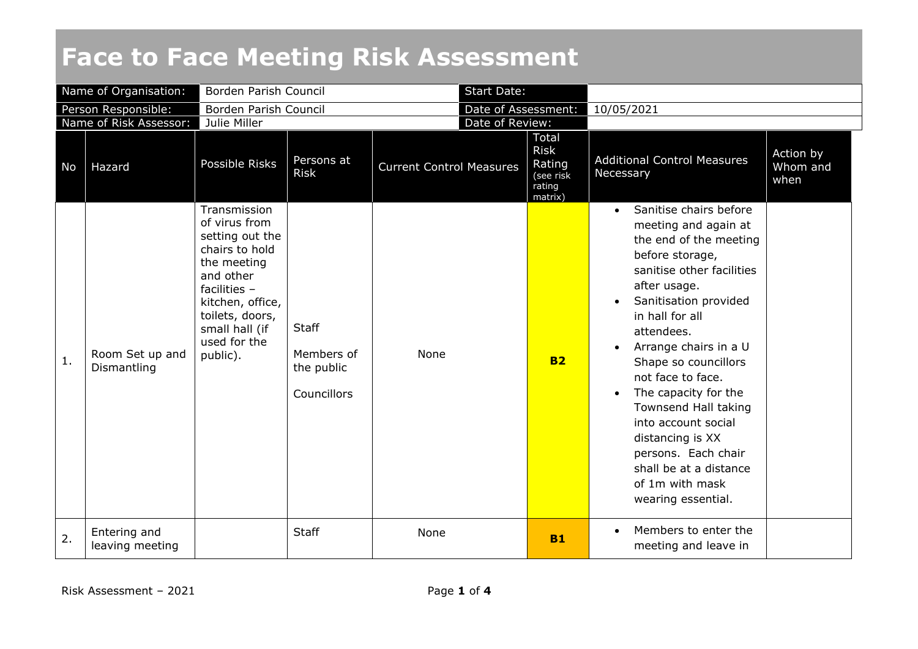## **Face to Face Meeting Risk Assessment**

| Name of Organisation:  |                                 | Borden Parish Council                                                                                                                                                                                 |                                                         |                                 | <b>Start Date:</b>  |                                                                         |                                                                                                                                                                                                                                                                                                                                                                                                                                                                                                      |                               |
|------------------------|---------------------------------|-------------------------------------------------------------------------------------------------------------------------------------------------------------------------------------------------------|---------------------------------------------------------|---------------------------------|---------------------|-------------------------------------------------------------------------|------------------------------------------------------------------------------------------------------------------------------------------------------------------------------------------------------------------------------------------------------------------------------------------------------------------------------------------------------------------------------------------------------------------------------------------------------------------------------------------------------|-------------------------------|
| Person Responsible:    |                                 | Borden Parish Council                                                                                                                                                                                 |                                                         |                                 | Date of Assessment: |                                                                         | 10/05/2021                                                                                                                                                                                                                                                                                                                                                                                                                                                                                           |                               |
| Name of Risk Assessor: |                                 | Julie Miller                                                                                                                                                                                          |                                                         |                                 | Date of Review:     |                                                                         |                                                                                                                                                                                                                                                                                                                                                                                                                                                                                                      |                               |
| No                     | Hazard                          | Possible Risks                                                                                                                                                                                        | Persons at<br><b>Risk</b>                               | <b>Current Control Measures</b> |                     | <b>Total</b><br><b>Risk</b><br>Rating<br>(see risk<br>rating<br>matrix) | <b>Additional Control Measures</b><br>Necessary                                                                                                                                                                                                                                                                                                                                                                                                                                                      | Action by<br>Whom and<br>when |
| $\mathbf{1}$ .         | Room Set up and<br>Dismantling  | Transmission<br>of virus from<br>setting out the<br>chairs to hold<br>the meeting<br>and other<br>facilities $-$<br>kitchen, office,<br>toilets, doors,<br>small hall (if<br>used for the<br>public). | <b>Staff</b><br>Members of<br>the public<br>Councillors | None                            |                     | <b>B2</b>                                                               | Sanitise chairs before<br>$\bullet$<br>meeting and again at<br>the end of the meeting<br>before storage,<br>sanitise other facilities<br>after usage.<br>Sanitisation provided<br>$\bullet$<br>in hall for all<br>attendees.<br>Arrange chairs in a U<br>$\bullet$<br>Shape so councillors<br>not face to face.<br>The capacity for the<br>Townsend Hall taking<br>into account social<br>distancing is XX<br>persons. Each chair<br>shall be at a distance<br>of 1m with mask<br>wearing essential. |                               |
| 2.                     | Entering and<br>leaving meeting |                                                                                                                                                                                                       | <b>Staff</b>                                            | None                            |                     | <b>B1</b>                                                               | Members to enter the<br>$\bullet$<br>meeting and leave in                                                                                                                                                                                                                                                                                                                                                                                                                                            |                               |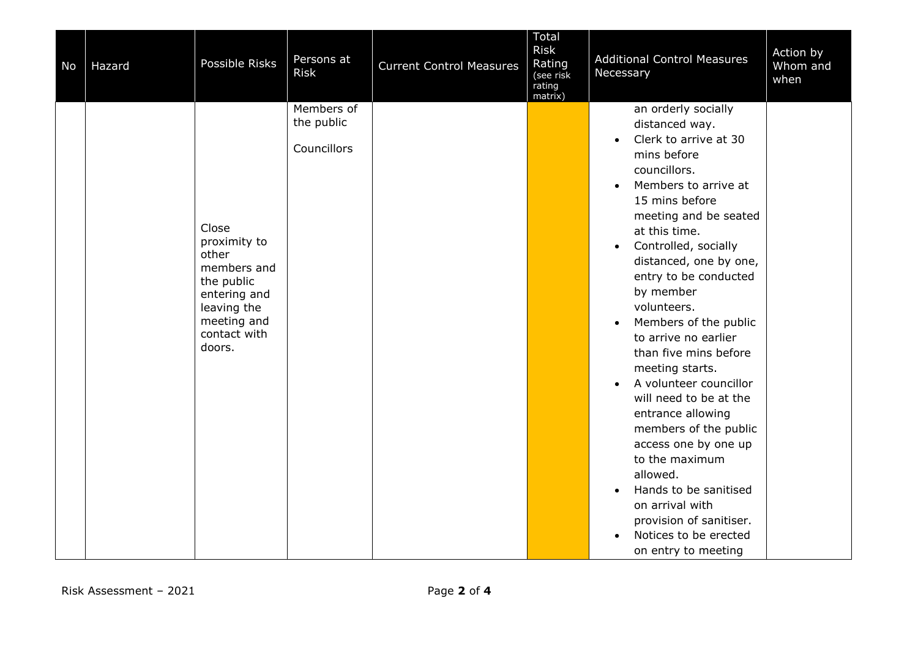| No | Hazard | Possible Risks                                                                                                                      | Persons at<br><b>Risk</b>               | <b>Current Control Measures</b> | Total<br><b>Risk</b><br>Rating<br>(see risk<br>rating<br>matrix) | <b>Additional Control Measures</b><br>Necessary                                                                                                                                                                                                                                                                                                                                                                                                                                                                                                                                                                                                                                                                                       | Action by<br>Whom and<br>when |
|----|--------|-------------------------------------------------------------------------------------------------------------------------------------|-----------------------------------------|---------------------------------|------------------------------------------------------------------|---------------------------------------------------------------------------------------------------------------------------------------------------------------------------------------------------------------------------------------------------------------------------------------------------------------------------------------------------------------------------------------------------------------------------------------------------------------------------------------------------------------------------------------------------------------------------------------------------------------------------------------------------------------------------------------------------------------------------------------|-------------------------------|
|    |        | Close<br>proximity to<br>other<br>members and<br>the public<br>entering and<br>leaving the<br>meeting and<br>contact with<br>doors. | Members of<br>the public<br>Councillors |                                 |                                                                  | an orderly socially<br>distanced way.<br>Clerk to arrive at 30<br>$\bullet$<br>mins before<br>councillors.<br>Members to arrive at<br>15 mins before<br>meeting and be seated<br>at this time.<br>Controlled, socially<br>$\bullet$<br>distanced, one by one,<br>entry to be conducted<br>by member<br>volunteers.<br>Members of the public<br>$\bullet$<br>to arrive no earlier<br>than five mins before<br>meeting starts.<br>A volunteer councillor<br>$\bullet$<br>will need to be at the<br>entrance allowing<br>members of the public<br>access one by one up<br>to the maximum<br>allowed.<br>Hands to be sanitised<br>$\bullet$<br>on arrival with<br>provision of sanitiser.<br>Notices to be erected<br>on entry to meeting |                               |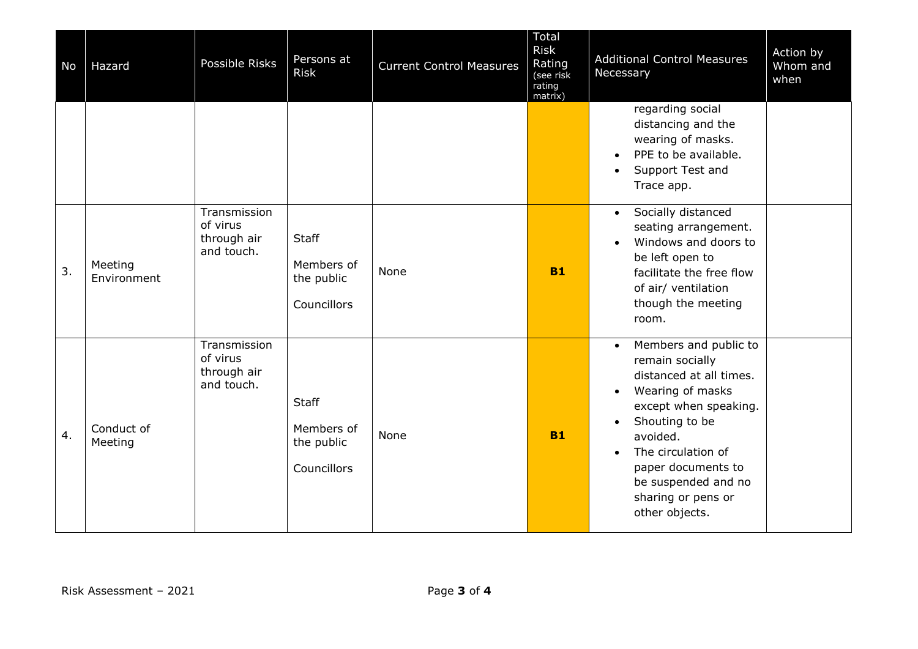| No | Hazard                 | Possible Risks                                        | Persons at<br><b>Risk</b>                               | <b>Current Control Measures</b> | Total<br><b>Risk</b><br>Rating<br>(see risk<br>rating<br>matrix) | Action by<br><b>Additional Control Measures</b><br>Whom and<br>Necessary<br>when                                                                                                                                                                                       |
|----|------------------------|-------------------------------------------------------|---------------------------------------------------------|---------------------------------|------------------------------------------------------------------|------------------------------------------------------------------------------------------------------------------------------------------------------------------------------------------------------------------------------------------------------------------------|
|    |                        |                                                       |                                                         |                                 |                                                                  | regarding social<br>distancing and the<br>wearing of masks.<br>PPE to be available.<br>Support Test and<br>Trace app.                                                                                                                                                  |
| 3. | Meeting<br>Environment | Transmission<br>of virus<br>through air<br>and touch. | <b>Staff</b><br>Members of<br>the public<br>Councillors | None                            | <b>B1</b>                                                        | Socially distanced<br>$\bullet$<br>seating arrangement.<br>Windows and doors to<br>be left open to<br>facilitate the free flow<br>of air/ ventilation<br>though the meeting<br>room.                                                                                   |
| 4. | Conduct of<br>Meeting  | Transmission<br>of virus<br>through air<br>and touch. | <b>Staff</b><br>Members of<br>the public<br>Councillors | None                            | <b>B1</b>                                                        | Members and public to<br>$\bullet$<br>remain socially<br>distanced at all times.<br>Wearing of masks<br>except when speaking.<br>Shouting to be<br>avoided.<br>The circulation of<br>paper documents to<br>be suspended and no<br>sharing or pens or<br>other objects. |